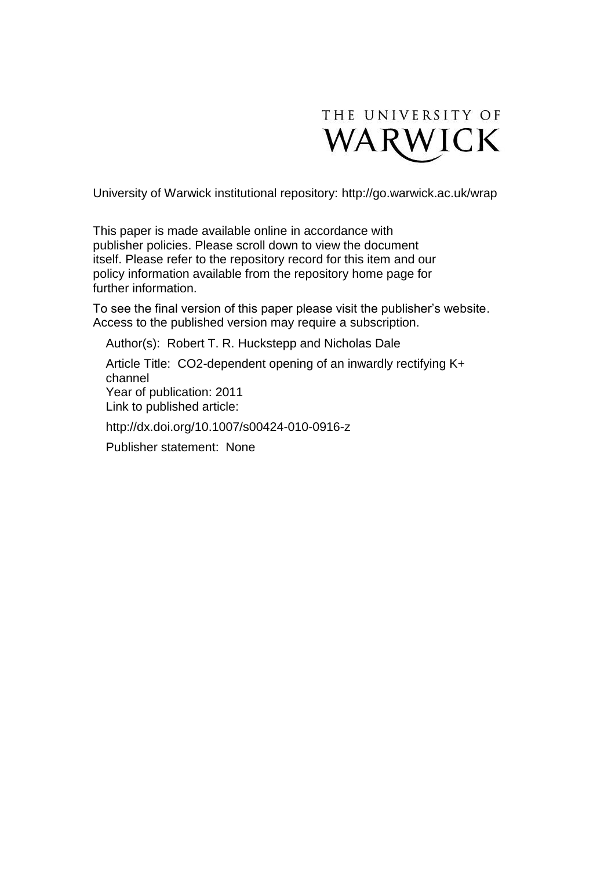

University of Warwick institutional repository:<http://go.warwick.ac.uk/wrap>

This paper is made available online in accordance with publisher policies. Please scroll down to view the document itself. Please refer to the repository record for this item and our policy information available from the repository home page for further information.

To see the final version of this paper please visit the publisher's website. Access to the published version may require a subscription.

Author(s): Robert T. R. Huckstepp and Nicholas Dale

Article Title: CO2-dependent opening of an inwardly rectifying K+ channel Year of publication: 2011 Link to published article:

http://dx.doi.org/10.1007/s00424-010-0916-z

Publisher statement: None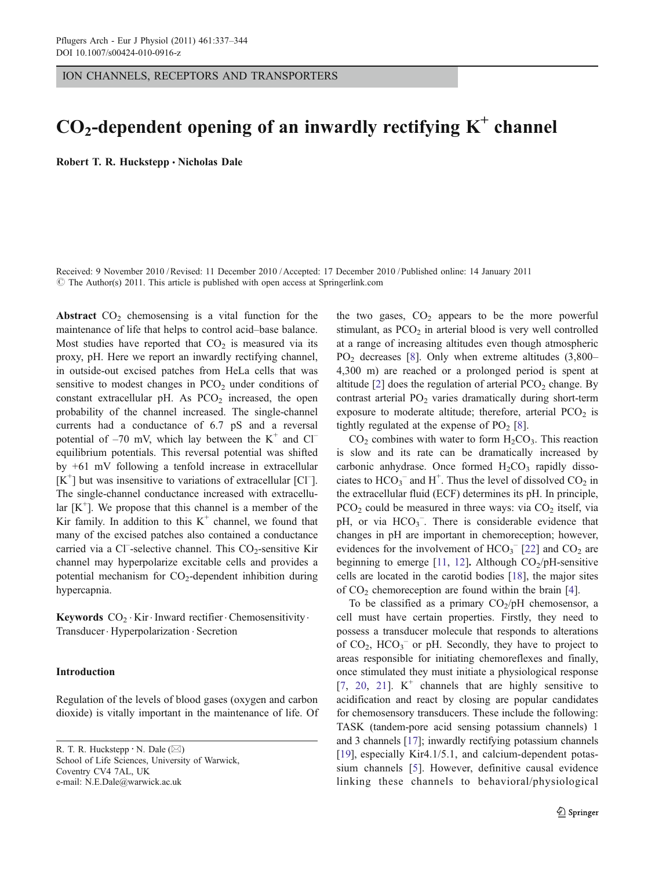ION CHANNELS, RECEPTORS AND TRANSPORTERS

# $CO<sub>2</sub>$ -dependent opening of an inwardly rectifying  $K<sup>+</sup>$  channel

Robert T. R. Huckstepp · Nicholas Dale

Received: 9 November 2010 /Revised: 11 December 2010 /Accepted: 17 December 2010 / Published online: 14 January 2011  $\circled{c}$  The Author(s) 2011. This article is published with open access at Springerlink.com

Abstract  $CO<sub>2</sub>$  chemosensing is a vital function for the maintenance of life that helps to control acid–base balance. Most studies have reported that  $CO<sub>2</sub>$  is measured via its proxy, pH. Here we report an inwardly rectifying channel, in outside-out excised patches from HeLa cells that was sensitive to modest changes in  $PCO<sub>2</sub>$  under conditions of constant extracellular pH. As  $PCO<sub>2</sub>$  increased, the open probability of the channel increased. The single-channel currents had a conductance of 6.7 pS and a reversal potential of  $-70$  mV, which lay between the  $K^+$  and  $Cl^$ equilibrium potentials. This reversal potential was shifted by +61 mV following a tenfold increase in extracellular  $[K^+]$  but was insensitive to variations of extracellular [Cl<sup>-</sup>]. The single-channel conductance increased with extracellular  $[K^+]$ . We propose that this channel is a member of the Kir family. In addition to this  $K^+$  channel, we found that many of the excised patches also contained a conductance carried via a Cl<sup>-</sup>-selective channel. This CO<sub>2</sub>-sensitive Kir channel may hyperpolarize excitable cells and provides a potential mechanism for  $CO<sub>2</sub>$ -dependent inhibition during hypercapnia.

Keywords  $CO_2 \cdot$  Kir $\cdot$  Inward rectifier $\cdot$  Chemosensitivity. Transducer. Hyperpolarization . Secretion

## Introduction

Regulation of the levels of blood gases (oxygen and carbon dioxide) is vitally important in the maintenance of life. Of

R. T. R. Huckstepp  $\cdot$  N. Dale ( $\boxtimes$ ) School of Life Sciences, University of Warwick, Coventry CV4 7AL, UK e-mail: N.E.Dale@warwick.ac.uk

the two gases,  $CO<sub>2</sub>$  appears to be the more powerful stimulant, as  $PCO<sub>2</sub>$  in arterial blood is very well controlled at a range of increasing altitudes even though atmospheric  $PO<sub>2</sub>$  decreases [[8\]](#page-7-0). Only when extreme altitudes  $(3,800-$ 4,300 m) are reached or a prolonged period is spent at altitude  $[2]$  $[2]$  does the regulation of arterial  $PCO<sub>2</sub>$  change. By contrast arterial  $PO<sub>2</sub>$  varies dramatically during short-term exposure to moderate altitude; therefore, arterial  $PCO<sub>2</sub>$  is tightly regulated at the expense of  $PO<sub>2</sub> [8]$  $PO<sub>2</sub> [8]$ .

 $CO<sub>2</sub>$  combines with water to form  $H<sub>2</sub>CO<sub>3</sub>$ . This reaction is slow and its rate can be dramatically increased by carbonic anhydrase. Once formed  $H_2CO_3$  rapidly dissociates to  $HCO_3^-$  and  $H^+$ . Thus the level of dissolved  $CO_2$  in the extracellular fluid (ECF) determines its pH. In principle,  $PCO<sub>2</sub>$  could be measured in three ways: via  $CO<sub>2</sub>$  itself, via pH, or via  $HCO<sub>3</sub><sup>-</sup>$ . There is considerable evidence that changes in pH are important in chemoreception; however, evidences for the involvement of  $HCO<sub>3</sub><sup>-</sup>$  [\[22](#page-8-0)] and  $CO<sub>2</sub>$  are beginning to emerge [\[11,](#page-7-0) [12](#page-7-0)]. Although  $CO<sub>2</sub>/pH-sensitive$ cells are located in the carotid bodies [\[18](#page-8-0)], the major sites of  $CO<sub>2</sub>$  chemoreception are found within the brain [\[4](#page-7-0)].

To be classified as a primary  $CO_2/pH$  chemosensor, a cell must have certain properties. Firstly, they need to possess a transducer molecule that responds to alterations of  $CO_2$ ,  $HCO_3^-$  or pH. Secondly, they have to project to areas responsible for initiating chemoreflexes and finally, once stimulated they must initiate a physiological response [\[7](#page-7-0), [20](#page-8-0), [21](#page-8-0)].  $K^+$  channels that are highly sensitive to acidification and react by closing are popular candidates for chemosensory transducers. These include the following: TASK (tandem-pore acid sensing potassium channels) 1 and 3 channels [\[17](#page-8-0)]; inwardly rectifying potassium channels [\[19](#page-8-0)], especially Kir4.1/5.1, and calcium-dependent potassium channels [\[5](#page-7-0)]. However, definitive causal evidence linking these channels to behavioral/physiological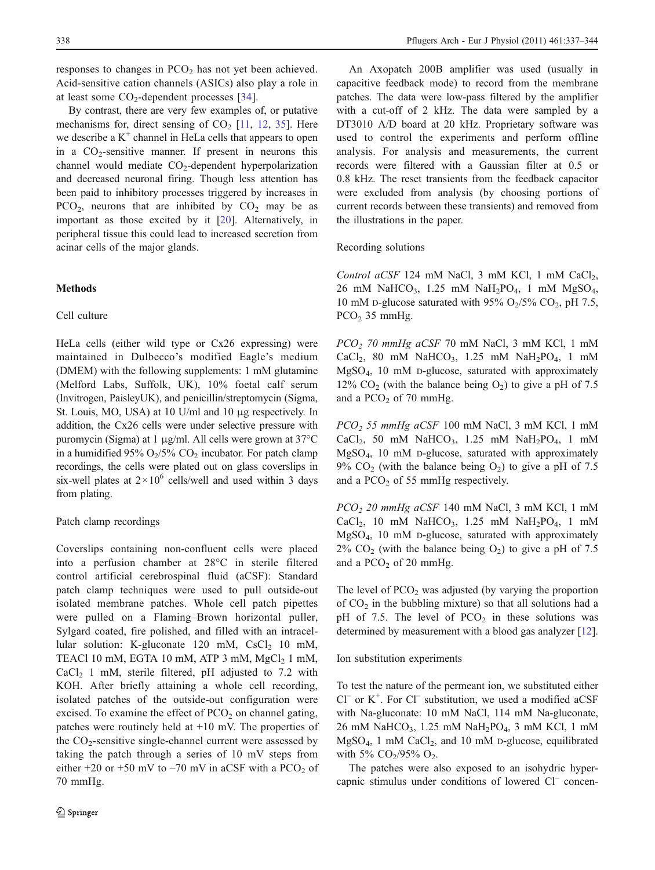<span id="page-2-0"></span>responses to changes in  $PCO<sub>2</sub>$  has not yet been achieved. Acid-sensitive cation channels (ASICs) also play a role in at least some  $CO<sub>2</sub>$ -dependent processes [\[34](#page-8-0)].

By contrast, there are very few examples of, or putative mechanisms for, direct sensing of  $CO<sub>2</sub>$  [[11,](#page-7-0) [12](#page-7-0), [35](#page-8-0)]. Here we describe a  $K^+$  channel in HeLa cells that appears to open in a  $CO<sub>2</sub>$ -sensitive manner. If present in neurons this channel would mediate  $CO<sub>2</sub>$ -dependent hyperpolarization and decreased neuronal firing. Though less attention has been paid to inhibitory processes triggered by increases in  $PCO<sub>2</sub>$ , neurons that are inhibited by  $CO<sub>2</sub>$  may be as important as those excited by it [\[20](#page-8-0)]. Alternatively, in peripheral tissue this could lead to increased secretion from acinar cells of the major glands.

## Methods

# Cell culture

HeLa cells (either wild type or Cx26 expressing) were maintained in Dulbecco's modified Eagle's medium (DMEM) with the following supplements: 1 mM glutamine (Melford Labs, Suffolk, UK), 10% foetal calf serum (Invitrogen, PaisleyUK), and penicillin/streptomycin (Sigma, St. Louis, MO, USA) at 10 U/ml and 10 μg respectively. In addition, the Cx26 cells were under selective pressure with puromycin (Sigma) at 1 μg/ml. All cells were grown at 37°C in a humidified 95%  $O_2/5\%$  CO<sub>2</sub> incubator. For patch clamp recordings, the cells were plated out on glass coverslips in six-well plates at  $2 \times 10^6$  cells/well and used within 3 days from plating.

## Patch clamp recordings

Coverslips containing non-confluent cells were placed into a perfusion chamber at 28°C in sterile filtered control artificial cerebrospinal fluid (aCSF): Standard patch clamp techniques were used to pull outside-out isolated membrane patches. Whole cell patch pipettes were pulled on a Flaming–Brown horizontal puller, Sylgard coated, fire polished, and filled with an intracellular solution: K-gluconate 120 mM,  $CsCl<sub>2</sub>$  10 mM, TEACl 10 mM, EGTA 10 mM, ATP 3 mM,  $MgCl<sub>2</sub>$  1 mM,  $CaCl<sub>2</sub>$  1 mM, sterile filtered, pH adjusted to 7.2 with KOH. After briefly attaining a whole cell recording, isolated patches of the outside-out configuration were excised. To examine the effect of  $PCO<sub>2</sub>$  on channel gating, patches were routinely held at  $+10$  mV. The properties of the  $CO<sub>2</sub>$ -sensitive single-channel current were assessed by taking the patch through a series of 10 mV steps from either +20 or +50 mV to  $-70$  mV in aCSF with a PCO<sub>2</sub> of 70 mmHg.

An Axopatch 200B amplifier was used (usually in capacitive feedback mode) to record from the membrane patches. The data were low-pass filtered by the amplifier with a cut-off of 2 kHz. The data were sampled by a DT3010 A/D board at 20 kHz. Proprietary software was used to control the experiments and perform offline analysis. For analysis and measurements, the current records were filtered with a Gaussian filter at 0.5 or 0.8 kHz. The reset transients from the feedback capacitor were excluded from analysis (by choosing portions of current records between these transients) and removed from the illustrations in the paper.

Recording solutions

Control aCSF 124 mM NaCl, 3 mM KCl, 1 mM CaCl<sub>2</sub>, 26 mM NaHCO<sub>3</sub>, 1.25 mM NaH<sub>2</sub>PO<sub>4</sub>, 1 mM MgSO<sub>4</sub>, 10 mM D-glucose saturated with 95%  $O_2/5\%$  CO<sub>2</sub>, pH 7.5,  $PCO<sub>2</sub>$  35 mmHg.

PCO2 70 mmHg aCSF 70 mM NaCl, 3 mM KCl, 1 mM CaCl<sub>2</sub>, 80 mM NaHCO<sub>3</sub>, 1.25 mM NaH<sub>2</sub>PO<sub>4</sub>, 1 mM MgSO4, 10 mM D-glucose, saturated with approximately 12%  $CO<sub>2</sub>$  (with the balance being  $O<sub>2</sub>$ ) to give a pH of 7.5 and a  $PCO<sub>2</sub>$  of 70 mmHg.

PCO<sub>2</sub> 55 mmHg aCSF 100 mM NaCl, 3 mM KCl, 1 mM CaCl<sub>2</sub>, 50 mM NaHCO<sub>3</sub>, 1.25 mM NaH<sub>2</sub>PO<sub>4</sub>, 1 mM MgSO4, 10 mM D-glucose, saturated with approximately 9%  $CO<sub>2</sub>$  (with the balance being  $O<sub>2</sub>$ ) to give a pH of 7.5 and a  $PCO<sub>2</sub>$  of 55 mmHg respectively.

PCO<sub>2</sub> 20 mmHg aCSF 140 mM NaCl, 3 mM KCl, 1 mM CaCl<sub>2</sub>, 10 mM NaHCO<sub>3</sub>, 1.25 mM NaH<sub>2</sub>PO<sub>4</sub>, 1 mM MgSO4, 10 mM D-glucose, saturated with approximately  $2\%$  CO<sub>2</sub> (with the balance being O<sub>2</sub>) to give a pH of 7.5 and a  $PCO<sub>2</sub>$  of 20 mmHg.

The level of  $PCO<sub>2</sub>$  was adjusted (by varying the proportion of  $CO<sub>2</sub>$  in the bubbling mixture) so that all solutions had a pH of 7.5. The level of  $PCO<sub>2</sub>$  in these solutions was determined by measurement with a blood gas analyzer [[12\]](#page-7-0).

Ion substitution experiments

To test the nature of the permeant ion, we substituted either  $Cl^-$  or  $K^+$ . For  $Cl^-$  substitution, we used a modified aCSF with Na-gluconate: 10 mM NaCl, 114 mM Na-gluconate, 26 mM NaHCO<sub>3</sub>, 1.25 mM NaH<sub>2</sub>PO<sub>4</sub>, 3 mM KCl, 1 mM MgSO<sub>4</sub>, 1 mM CaCl<sub>2</sub>, and 10 mM D-glucose, equilibrated with 5%  $CO<sub>2</sub>/95% O<sub>2</sub>$ .

The patches were also exposed to an isohydric hypercapnic stimulus under conditions of lowered Cl– concen-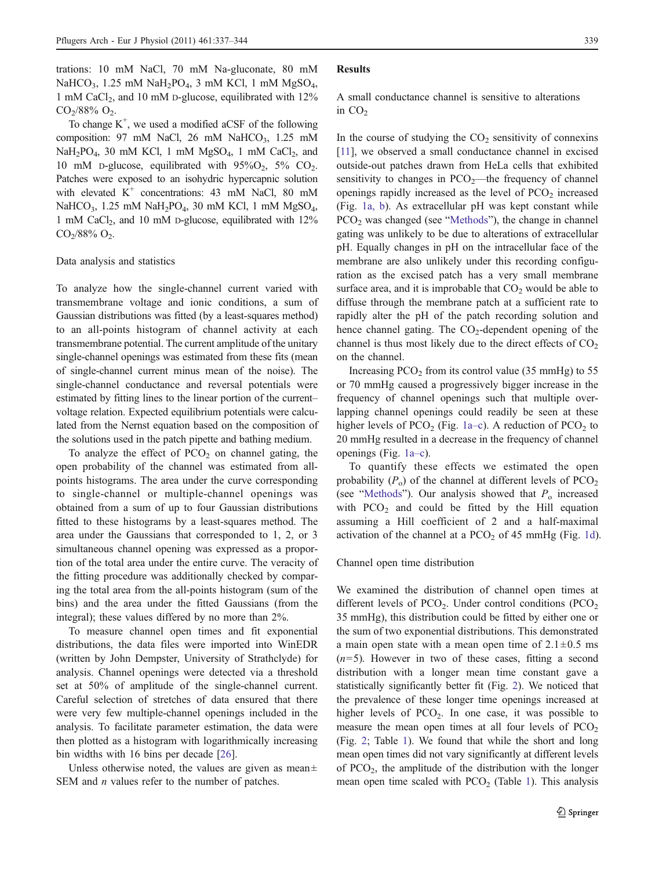trations: 10 mM NaCl, 70 mM Na-gluconate, 80 mM NaHCO<sub>3</sub>, 1.25 mM NaH<sub>2</sub>PO<sub>4</sub>, 3 mM KCl, 1 mM MgSO<sub>4</sub>, 1 mM CaCl<sub>2</sub>, and 10 mM D-glucose, equilibrated with  $12\%$  $CO<sub>2</sub>/88% O<sub>2</sub>$ .

To change  $K^+$ , we used a modified aCSF of the following composition: 97 mM NaCl, 26 mM NaHCO<sub>3</sub>, 1.25 mM  $NaH<sub>2</sub>PO<sub>4</sub>$ , 30 mM KCl, 1 mM  $MgSO<sub>4</sub>$ , 1 mM CaCl<sub>2</sub>, and 10 mM D-glucose, equilibrated with  $95\%O_2$ ,  $5\%$  CO<sub>2</sub>. Patches were exposed to an isohydric hypercapnic solution with elevated  $K^+$  concentrations: 43 mM NaCl, 80 mM NaHCO<sub>3</sub>, 1.25 mM NaH<sub>2</sub>PO<sub>4</sub>, 30 mM KCl, 1 mM MgSO<sub>4</sub>, 1 mM CaCl<sub>2</sub>, and 10 mM D-glucose, equilibrated with  $12\%$  $CO<sub>2</sub>/88% O<sub>2</sub>.$ 

### Data analysis and statistics

To analyze how the single-channel current varied with transmembrane voltage and ionic conditions, a sum of Gaussian distributions was fitted (by a least-squares method) to an all-points histogram of channel activity at each transmembrane potential. The current amplitude of the unitary single-channel openings was estimated from these fits (mean of single-channel current minus mean of the noise). The single-channel conductance and reversal potentials were estimated by fitting lines to the linear portion of the current– voltage relation. Expected equilibrium potentials were calculated from the Nernst equation based on the composition of the solutions used in the patch pipette and bathing medium.

To analyze the effect of  $PCO<sub>2</sub>$  on channel gating, the open probability of the channel was estimated from allpoints histograms. The area under the curve corresponding to single-channel or multiple-channel openings was obtained from a sum of up to four Gaussian distributions fitted to these histograms by a least-squares method. The area under the Gaussians that corresponded to 1, 2, or 3 simultaneous channel opening was expressed as a proportion of the total area under the entire curve. The veracity of the fitting procedure was additionally checked by comparing the total area from the all-points histogram (sum of the bins) and the area under the fitted Gaussians (from the integral); these values differed by no more than 2%.

To measure channel open times and fit exponential distributions, the data files were imported into WinEDR (written by John Dempster, University of Strathclyde) for analysis. Channel openings were detected via a threshold set at 50% of amplitude of the single-channel current. Careful selection of stretches of data ensured that there were very few multiple-channel openings included in the analysis. To facilitate parameter estimation, the data were then plotted as a histogram with logarithmically increasing bin widths with 16 bins per decade [\[26](#page-8-0)].

Unless otherwise noted, the values are given as mean $\pm$ SEM and *n* values refer to the number of patches.

#### Results

A small conductance channel is sensitive to alterations in  $CO<sub>2</sub>$ 

In the course of studying the  $CO<sub>2</sub>$  sensitivity of connexins [\[11](#page-7-0)], we observed a small conductance channel in excised outside-out patches drawn from HeLa cells that exhibited sensitivity to changes in  $PCO<sub>2</sub>$ —the frequency of channel openings rapidly increased as the level of  $PCO<sub>2</sub>$  increased (Fig. [1a, b](#page-4-0)). As extracellular pH was kept constant while PCO<sub>2</sub> was changed (see "[Methods](#page-2-0)"), the change in channel gating was unlikely to be due to alterations of extracellular pH. Equally changes in pH on the intracellular face of the membrane are also unlikely under this recording configuration as the excised patch has a very small membrane surface area, and it is improbable that  $CO<sub>2</sub>$  would be able to diffuse through the membrane patch at a sufficient rate to rapidly alter the pH of the patch recording solution and hence channel gating. The  $CO<sub>2</sub>$ -dependent opening of the channel is thus most likely due to the direct effects of  $CO<sub>2</sub>$ on the channel.

Increasing  $PCO<sub>2</sub>$  from its control value (35 mmHg) to 55 or 70 mmHg caused a progressively bigger increase in the frequency of channel openings such that multiple overlapping channel openings could readily be seen at these higher levels of PCO<sub>2</sub> (Fig. [1a](#page-4-0)–c). A reduction of PCO<sub>2</sub> to 20 mmHg resulted in a decrease in the frequency of channel openings (Fig. [1a](#page-4-0)–c).

To quantify these effects we estimated the open probability  $(P_0)$  of the channel at different levels of  $PCO_2$ (see "[Methods](#page-2-0)"). Our analysis showed that  $P_0$  increased with  $PCO<sub>2</sub>$  and could be fitted by the Hill equation assuming a Hill coefficient of 2 and a half-maximal activation of the channel at a  $PCO<sub>2</sub>$  of 45 mmHg (Fig. [1d](#page-4-0)).

## Channel open time distribution

We examined the distribution of channel open times at different levels of  $PCO<sub>2</sub>$ . Under control conditions  $(PCO<sub>2</sub>)$ 35 mmHg), this distribution could be fitted by either one or the sum of two exponential distributions. This demonstrated a main open state with a mean open time of  $2.1 \pm 0.5$  ms  $(n=5)$ . However in two of these cases, fitting a second distribution with a longer mean time constant gave a statistically significantly better fit (Fig. [2](#page-5-0)). We noticed that the prevalence of these longer time openings increased at higher levels of PCO<sub>2</sub>. In one case, it was possible to measure the mean open times at all four levels of  $PCO<sub>2</sub>$ (Fig. [2;](#page-5-0) Table [1](#page-5-0)). We found that while the short and long mean open times did not vary significantly at different levels of  $PCO<sub>2</sub>$ , the amplitude of the distribution with the longer mean open time scaled with  $PCO<sub>2</sub>$  (Table [1\)](#page-5-0). This analysis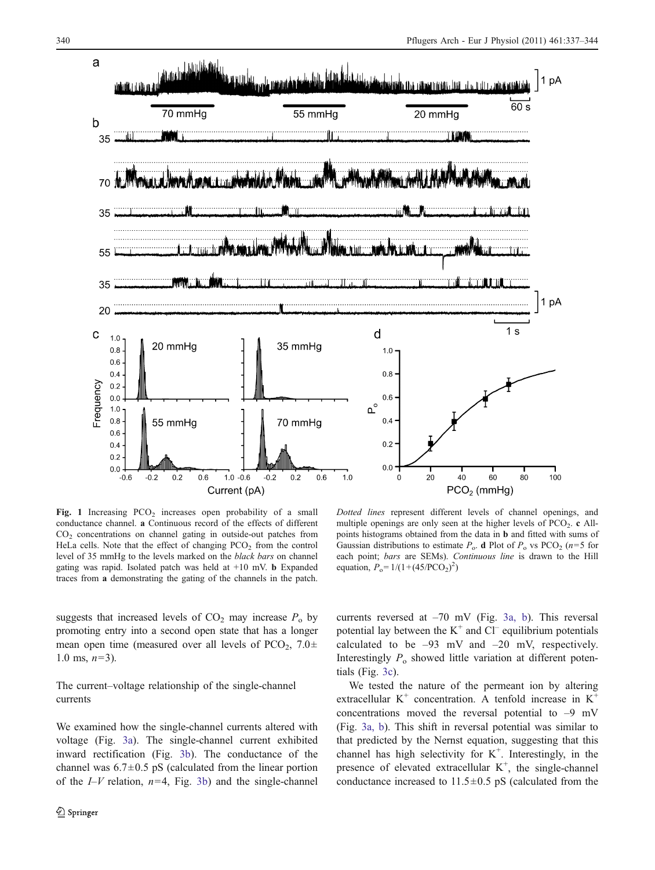<span id="page-4-0"></span>

Fig. 1 Increasing  $PCO<sub>2</sub>$  increases open probability of a small conductance channel. a Continuous record of the effects of different CO2 concentrations on channel gating in outside-out patches from HeLa cells. Note that the effect of changing  $PCO<sub>2</sub>$  from the control level of 35 mmHg to the levels marked on the black bars on channel gating was rapid. Isolated patch was held at +10 mV. b Expanded traces from a demonstrating the gating of the channels in the patch.

Dotted lines represent different levels of channel openings, and multiple openings are only seen at the higher levels of  $PCO<sub>2</sub>$ . c Allpoints histograms obtained from the data in b and fitted with sums of Gaussian distributions to estimate  $P_0$ . d Plot of  $P_0$  vs PCO<sub>2</sub> (n=5 for each point; bars are SEMs). Continuous line is drawn to the Hill equation,  $P_0 = 1/(1 + (45/PCO_2)^2)$ 

suggests that increased levels of  $CO<sub>2</sub>$  may increase  $P<sub>o</sub>$  by promoting entry into a second open state that has a longer mean open time (measured over all levels of  $PCO<sub>2</sub>$ ,  $7.0\pm$ 1.0 ms,  $n=3$ ).

The current–voltage relationship of the single-channel currents

We examined how the single-channel currents altered with voltage (Fig. [3a\)](#page-6-0). The single-channel current exhibited inward rectification (Fig. [3b](#page-6-0)). The conductance of the channel was  $6.7 \pm 0.5$  pS (calculated from the linear portion of the  $I-V$  relation,  $n=4$ , Fig. [3b\)](#page-6-0) and the single-channel

currents reversed at –70 mV (Fig. [3a, b\)](#page-6-0). This reversal potential lay between the  $K^+$  and  $Cl^-$  equilibrium potentials calculated to be –93 mV and –20 mV, respectively. Interestingly  $P_0$  showed little variation at different potentials (Fig. [3c](#page-6-0)).

We tested the nature of the permeant ion by altering extracellular  $K^+$  concentration. A tenfold increase in  $K^+$ concentrations moved the reversal potential to  $-9$  mV (Fig. [3a, b\)](#page-6-0). This shift in reversal potential was similar to that predicted by the Nernst equation, suggesting that this channel has high selectivity for  $K^+$ . Interestingly, in the presence of elevated extracellular  $K^+$ , the single-channel conductance increased to  $11.5 \pm 0.5$  pS (calculated from the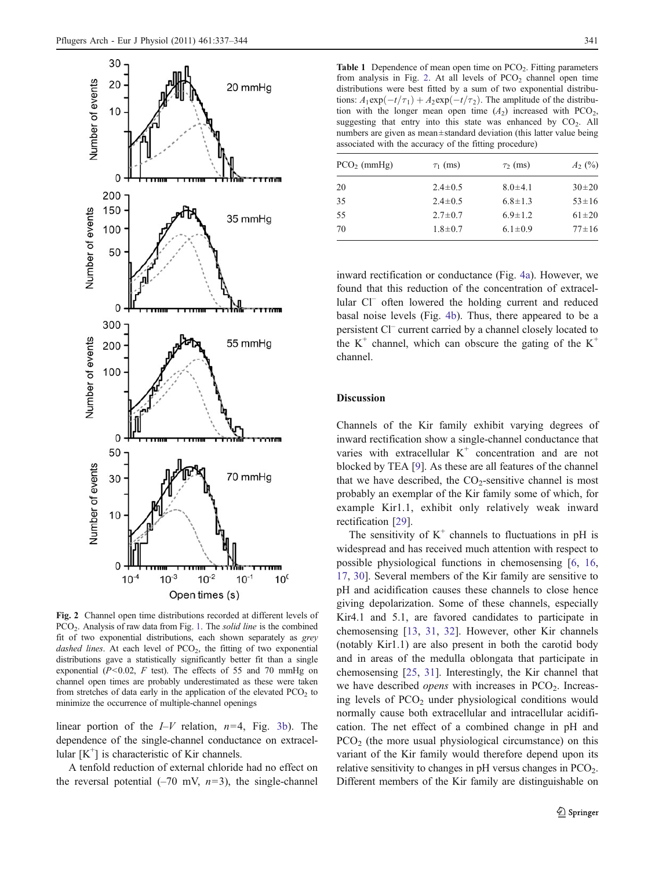<span id="page-5-0"></span>

Fig. 2 Channel open time distributions recorded at different levels of PCO<sub>2</sub>. Analysis of raw data from Fig. [1](#page-4-0). The *solid line* is the combined fit of two exponential distributions, each shown separately as grey dashed lines. At each level of  $PCO<sub>2</sub>$ , the fitting of two exponential distributions gave a statistically significantly better fit than a single exponential ( $P<0.02$ ,  $F$  test). The effects of 55 and 70 mmHg on channel open times are probably underestimated as these were taken from stretches of data early in the application of the elevated  $PCO<sub>2</sub>$  to minimize the occurrence of multiple-channel openings

linear portion of the  $I-V$  relation,  $n=4$ , Fig. [3b\)](#page-6-0). The dependence of the single-channel conductance on extracellular [K<sup>+</sup>] is characteristic of Kir channels.

A tenfold reduction of external chloride had no effect on the reversal potential  $(-70 \text{ mV}, n=3)$ , the single-channel

**Table 1** Dependence of mean open time on  $PCO<sub>2</sub>$ . Fitting parameters from analysis in Fig. 2. At all levels of  $PCO<sub>2</sub>$  channel open time distributions were best fitted by a sum of two exponential distributions:  $A_1 \exp(-t/\tau_1) + A_2 \exp(-t/\tau_2)$ . The amplitude of the distribution with the longer mean open time  $(A_2)$  increased with PCO<sub>2</sub>, suggesting that entry into this state was enhanced by  $CO<sub>2</sub>$ . All numbers are given as mean±standard deviation (this latter value being associated with the accuracy of the fitting procedure)

| $PCO2$ (mmHg) | $\tau_1$ (ms) | $\tau_2$ (ms) | $A_2$ (%)   |
|---------------|---------------|---------------|-------------|
| 20            | $2.4 \pm 0.5$ | $8.0 \pm 4.1$ | $30\pm 20$  |
| 35            | $2.4 \pm 0.5$ | $6.8 \pm 1.3$ | $53 \pm 16$ |
| 55            | $2.7 \pm 0.7$ | $6.9 \pm 1.2$ | $61 \pm 20$ |
| 70            | $1.8 \pm 0.7$ | $6.1 \pm 0.9$ | $77 \pm 16$ |
|               |               |               |             |

inward rectification or conductance (Fig. [4a](#page-6-0)). However, we found that this reduction of the concentration of extracellular Cl<sup>-</sup> often lowered the holding current and reduced basal noise levels (Fig. [4b](#page-6-0)). Thus, there appeared to be a persistent Cl– current carried by a channel closely located to the  $K^+$  channel, which can obscure the gating of the  $K^+$ channel.

## Discussion

Channels of the Kir family exhibit varying degrees of inward rectification show a single-channel conductance that varies with extracellular  $K^+$  concentration and are not blocked by TEA [[9\]](#page-7-0). As these are all features of the channel that we have described, the  $CO_2$ -sensitive channel is most probably an exemplar of the Kir family some of which, for example Kir1.1, exhibit only relatively weak inward rectification [\[29](#page-8-0)].

The sensitivity of  $K^+$  channels to fluctuations in pH is widespread and has received much attention with respect to possible physiological functions in chemosensing [[6,](#page-7-0) [16,](#page-8-0) [17](#page-8-0), [30\]](#page-8-0). Several members of the Kir family are sensitive to pH and acidification causes these channels to close hence giving depolarization. Some of these channels, especially Kir4.1 and 5.1, are favored candidates to participate in chemosensing [\[13](#page-7-0), [31](#page-8-0), [32\]](#page-8-0). However, other Kir channels (notably Kir1.1) are also present in both the carotid body and in areas of the medulla oblongata that participate in chemosensing [[25,](#page-8-0) [31\]](#page-8-0). Interestingly, the Kir channel that we have described *opens* with increases in  $PCO<sub>2</sub>$ . Increasing levels of  $PCO<sub>2</sub>$  under physiological conditions would normally cause both extracellular and intracellular acidification. The net effect of a combined change in pH and  $PCO<sub>2</sub>$  (the more usual physiological circumstance) on this variant of the Kir family would therefore depend upon its relative sensitivity to changes in  $pH$  versus changes in  $PCO<sub>2</sub>$ . Different members of the Kir family are distinguishable on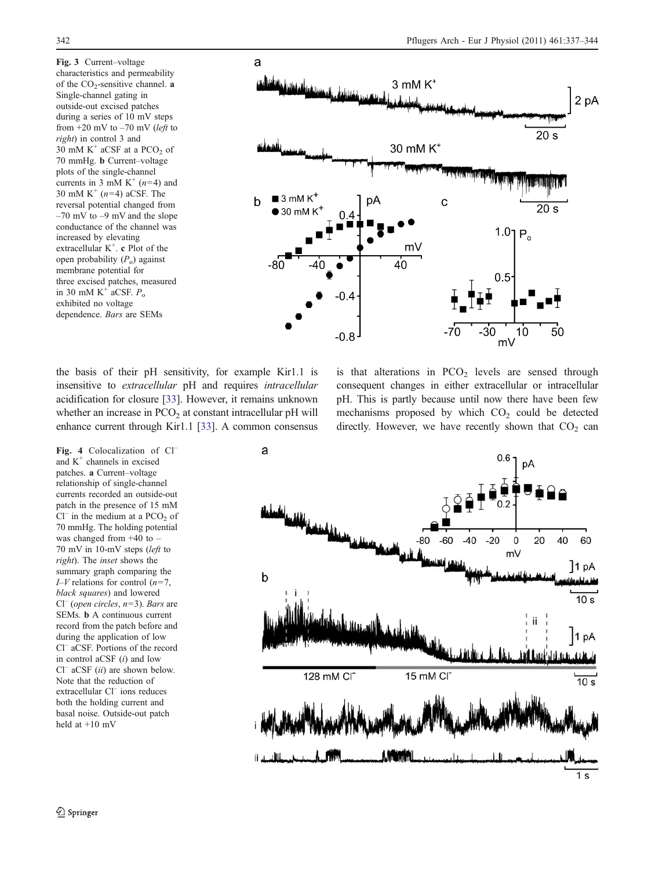<span id="page-6-0"></span>Fig. 3 Current–voltage characteristics and permeability of the  $CO<sub>2</sub>$ -sensitive channel. a Single-channel gating in outside-out excised patches during a series of 10 mV steps from  $+20$  mV to  $-70$  mV (left to right) in control 3 and 30 mM  $K^+$  aCSF at a PCO<sub>2</sub> of 70 mmHg. b Current–voltage plots of the single-channel currents in 3 mM  $K^+(n=4)$  and 30 mM K<sup>+</sup>  $(n=4)$  aCSF. The reversal potential changed from  $-70$  mV to  $-9$  mV and the slope conductance of the channel was increased by elevating extracellular K<sup>+</sup>. c Plot of the open probability  $(P_0)$  against membrane potential for three excised patches, measured in 30 mM  $K^+$  aCSF.  $P_0$ exhibited no voltage dependence. Bars are SEMs



the basis of their pH sensitivity, for example Kir1.1 is insensitive to extracellular pH and requires intracellular acidification for closure [[33\]](#page-8-0). However, it remains unknown whether an increase in  $PCO<sub>2</sub>$  at constant intracellular pH will enhance current through Kir1.1 [\[33](#page-8-0)]. A common consensus

Fig. 4 Colocalization of Cland  $K^+$  channels in excised patches. a Current–voltage relationship of single-channel currents recorded an outside-out patch in the presence of 15 mM  $Cl^-$  in the medium at a PCO<sub>2</sub> of 70 mmHg. The holding potential was changed from +40 to – 70 mV in 10-mV steps (left to right). The inset shows the summary graph comparing the  $I-V$  relations for control  $(n=7, 1)$ black squares) and lowered  $Cl^{-}$  (open circles,  $n=3$ ). Bars are SEMs. b A continuous current record from the patch before and during the application of low Cl– aCSF. Portions of the record in control aCSF  $(i)$  and low  $Cl^-$  aCSF (ii) are shown below. Note that the reduction of extracellular Cl<sup>–</sup> ions reduces both the holding current and basal noise. Outside-out patch held at +10 mV

is that alterations in  $PCO<sub>2</sub>$  levels are sensed through consequent changes in either extracellular or intracellular pH. This is partly because until now there have been few mechanisms proposed by which  $CO<sub>2</sub>$  could be detected directly. However, we have recently shown that  $CO<sub>2</sub>$  can

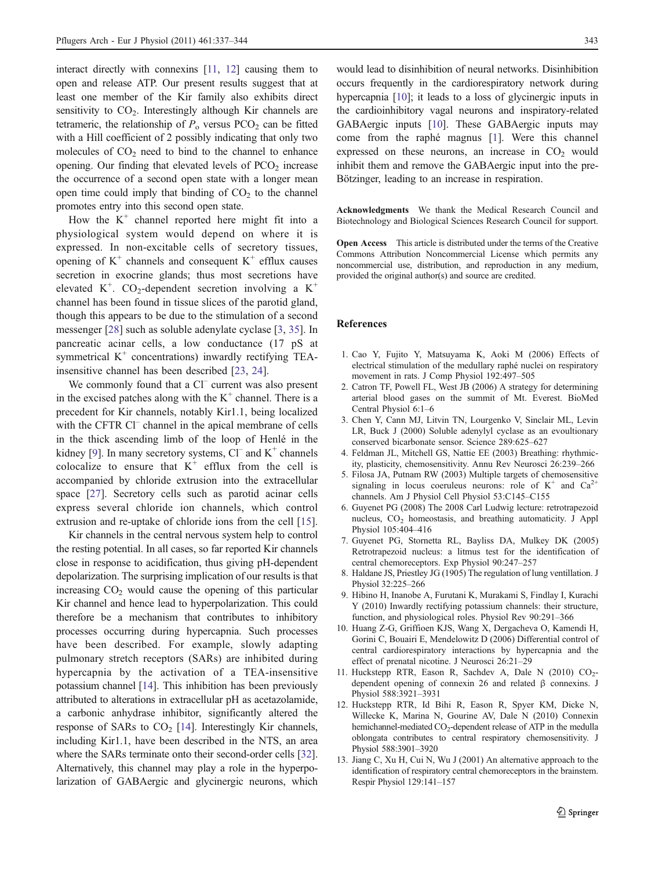<span id="page-7-0"></span>interact directly with connexins [11, 12] causing them to open and release ATP. Our present results suggest that at least one member of the Kir family also exhibits direct sensitivity to  $CO<sub>2</sub>$ . Interestingly although Kir channels are tetrameric, the relationship of  $P_0$  versus PCO<sub>2</sub> can be fitted with a Hill coefficient of 2 possibly indicating that only two molecules of  $CO<sub>2</sub>$  need to bind to the channel to enhance opening. Our finding that elevated levels of  $PCO<sub>2</sub>$  increase the occurrence of a second open state with a longer mean open time could imply that binding of  $CO<sub>2</sub>$  to the channel promotes entry into this second open state.

How the  $K^+$  channel reported here might fit into a physiological system would depend on where it is expressed. In non-excitable cells of secretory tissues, opening of  $K^+$  channels and consequent  $K^+$  efflux causes secretion in exocrine glands; thus most secretions have elevated K<sup>+</sup>. CO<sub>2</sub>-dependent secretion involving a K<sup>+</sup> channel has been found in tissue slices of the parotid gland, though this appears to be due to the stimulation of a second messenger [[28\]](#page-8-0) such as soluble adenylate cyclase [3, [35\]](#page-8-0). In pancreatic acinar cells, a low conductance (17 pS at symmetrical  $K^+$  concentrations) inwardly rectifying TEAinsensitive channel has been described [\[23](#page-8-0), [24](#page-8-0)].

We commonly found that a Cl<sup>–</sup> current was also present in the excised patches along with the  $K^+$  channel. There is a precedent for Kir channels, notably Kir1.1, being localized with the CFTR Cl<sup>–</sup> channel in the apical membrane of cells in the thick ascending limb of the loop of Henlé in the kidney [9]. In many secretory systems,  $Cl^-$  and  $K^+$  channels colocalize to ensure that  $K^+$  efflux from the cell is accompanied by chloride extrusion into the extracellular space [[27\]](#page-8-0). Secretory cells such as parotid acinar cells express several chloride ion channels, which control extrusion and re-uptake of chloride ions from the cell [\[15](#page-8-0)].

Kir channels in the central nervous system help to control the resting potential. In all cases, so far reported Kir channels close in response to acidification, thus giving pH-dependent depolarization. The surprising implication of our results is that increasing  $CO<sub>2</sub>$  would cause the opening of this particular Kir channel and hence lead to hyperpolarization. This could therefore be a mechanism that contributes to inhibitory processes occurring during hypercapnia. Such processes have been described. For example, slowly adapting pulmonary stretch receptors (SARs) are inhibited during hypercapnia by the activation of a TEA-insensitive potassium channel [\[14](#page-8-0)]. This inhibition has been previously attributed to alterations in extracellular pH as acetazolamide, a carbonic anhydrase inhibitor, significantly altered the response of SARs to  $CO<sub>2</sub>$  [[14\]](#page-8-0). Interestingly Kir channels, including Kir1.1, have been described in the NTS, an area where the SARs terminate onto their second-order cells [[32\]](#page-8-0). Alternatively, this channel may play a role in the hyperpolarization of GABAergic and glycinergic neurons, which

would lead to disinhibition of neural networks. Disinhibition occurs frequently in the cardiorespiratory network during hypercapnia [10]; it leads to a loss of glycinergic inputs in the cardioinhibitory vagal neurons and inspiratory-related GABAergic inputs [10]. These GABAergic inputs may come from the raphé magnus [1]. Were this channel expressed on these neurons, an increase in  $CO<sub>2</sub>$  would inhibit them and remove the GABAergic input into the pre-Bötzinger, leading to an increase in respiration.

Acknowledgments We thank the Medical Research Council and Biotechnology and Biological Sciences Research Council for support.

Open Access This article is distributed under the terms of the Creative Commons Attribution Noncommercial License which permits any noncommercial use, distribution, and reproduction in any medium, provided the original author(s) and source are credited.

#### References

- 1. Cao Y, Fujito Y, Matsuyama K, Aoki M (2006) Effects of electrical stimulation of the medullary raphé nuclei on respiratory movement in rats. J Comp Physiol 192:497–505
- 2. Catron TF, Powell FL, West JB (2006) A strategy for determining arterial blood gases on the summit of Mt. Everest. BioMed Central Physiol 6:1–6
- 3. Chen Y, Cann MJ, Litvin TN, Lourgenko V, Sinclair ML, Levin LR, Buck J (2000) Soluble adenylyl cyclase as an evoultionary conserved bicarbonate sensor. Science 289:625–627
- 4. Feldman JL, Mitchell GS, Nattie EE (2003) Breathing: rhythmicity, plasticity, chemosensitivity. Annu Rev Neurosci 26:239–266
- 5. Filosa JA, Putnam RW (2003) Multiple targets of chemosensitive signaling in locus coeruleus neurons: role of  $K^+$  and  $Ca^{2+}$ channels. Am J Physiol Cell Physiol 53:C145–C155
- 6. Guyenet PG (2008) The 2008 Carl Ludwig lecture: retrotrapezoid nucleus, CO<sub>2</sub> homeostasis, and breathing automaticity. J Appl Physiol 105:404–416
- 7. Guyenet PG, Stornetta RL, Bayliss DA, Mulkey DK (2005) Retrotrapezoid nucleus: a litmus test for the identification of central chemoreceptors. Exp Physiol 90:247–257
- 8. Haldane JS, Priestley JG (1905) The regulation of lung ventillation. J Physiol 32:225–266
- 9. Hibino H, Inanobe A, Furutani K, Murakami S, Findlay I, Kurachi Y (2010) Inwardly rectifying potassium channels: their structure, function, and physiological roles. Physiol Rev 90:291–366
- 10. Huang Z-G, Griffioen KJS, Wang X, Dergacheva O, Kamendi H, Gorini C, Bouairi E, Mendelowitz D (2006) Differential control of central cardiorespiratory interactions by hypercapnia and the effect of prenatal nicotine. J Neurosci 26:21–29
- 11. Huckstepp RTR, Eason R, Sachdev A, Dale N (2010) CO<sub>2</sub>dependent opening of connexin 26 and related β connexins. J Physiol 588:3921–3931
- 12. Huckstepp RTR, Id Bihi R, Eason R, Spyer KM, Dicke N, Willecke K, Marina N, Gourine AV, Dale N (2010) Connexin hemichannel-mediated CO<sub>2</sub>-dependent release of ATP in the medulla oblongata contributes to central respiratory chemosensitivity. J Physiol 588:3901–3920
- 13. Jiang C, Xu H, Cui N, Wu J (2001) An alternative approach to the identification of respiratory central chemoreceptors in the brainstem. Respir Physiol 129:141–157